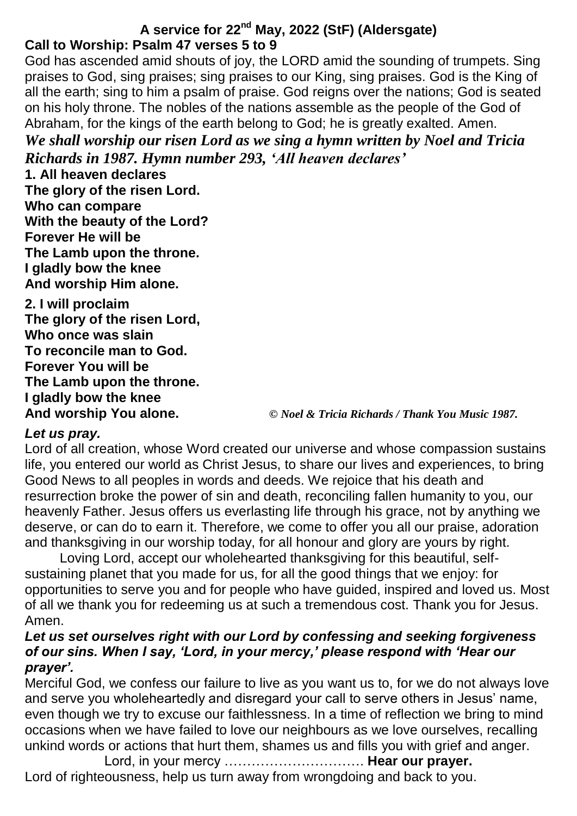# **A service for 22nd May, 2022 (StF) (Aldersgate) Call to Worship: Psalm 47 verses 5 to 9**

God has ascended amid shouts of joy, the LORD amid the sounding of trumpets. Sing praises to God, sing praises; sing praises to our King, sing praises. God is the King of all the earth; sing to him a psalm of praise. God reigns over the nations; God is seated on his holy throne. The nobles of the nations assemble as the people of the God of Abraham, for the kings of the earth belong to God; he is greatly exalted. Amen. *We shall worship our risen Lord as we sing a hymn written by Noel and Tricia* 

*Richards in 1987. Hymn number 293, 'All heaven declares'*

**1. All heaven declares The glory of the risen Lord. Who can compare With the beauty of the Lord? Forever He will be The Lamb upon the throne. I gladly bow the knee And worship Him alone.**

**2. I will proclaim The glory of the risen Lord, Who once was slain To reconcile man to God. Forever You will be The Lamb upon the throne. I gladly bow the knee**

**And worship You alone.** *© Noel & Tricia Richards / Thank You Music 1987.*

### *Let us pray.*

Lord of all creation, whose Word created our universe and whose compassion sustains life, you entered our world as Christ Jesus, to share our lives and experiences, to bring Good News to all peoples in words and deeds. We rejoice that his death and resurrection broke the power of sin and death, reconciling fallen humanity to you, our heavenly Father. Jesus offers us everlasting life through his grace, not by anything we deserve, or can do to earn it. Therefore, we come to offer you all our praise, adoration and thanksgiving in our worship today, for all honour and glory are yours by right.

Loving Lord, accept our wholehearted thanksgiving for this beautiful, selfsustaining planet that you made for us, for all the good things that we enjoy: for opportunities to serve you and for people who have guided, inspired and loved us. Most of all we thank you for redeeming us at such a tremendous cost. Thank you for Jesus. Amen.

### *Let us set ourselves right with our Lord by confessing and seeking forgiveness of our sins. When I say, 'Lord, in your mercy,' please respond with 'Hear our prayer'.*

Merciful God, we confess our failure to live as you want us to, for we do not always love and serve you wholeheartedly and disregard your call to serve others in Jesus' name, even though we try to excuse our faithlessness. In a time of reflection we bring to mind occasions when we have failed to love our neighbours as we love ourselves, recalling unkind words or actions that hurt them, shames us and fills you with grief and anger.

Lord, in your mercy …………………………. **Hear our prayer.** Lord of righteousness, help us turn away from wrongdoing and back to you.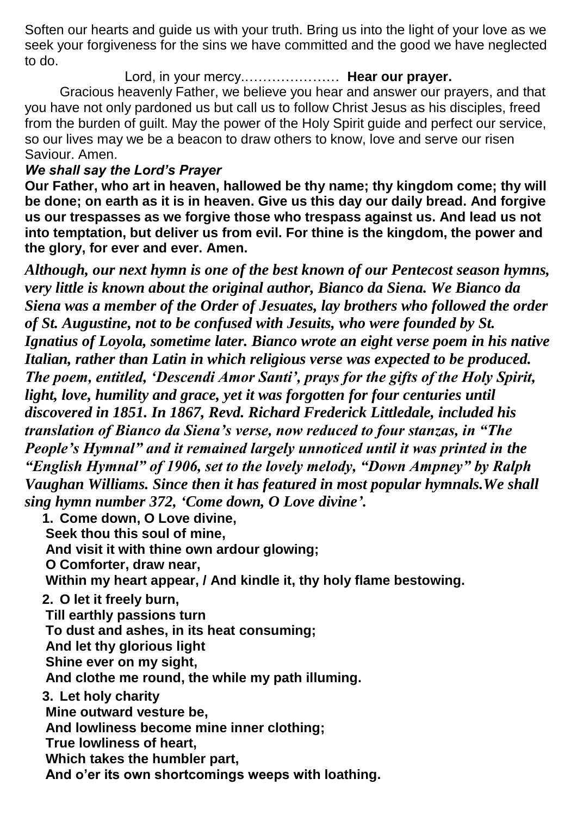Soften our hearts and guide us with your truth. Bring us into the light of your love as we seek your forgiveness for the sins we have committed and the good we have neglected to do.

Lord, in your mercy.………………… **Hear our prayer.**

Gracious heavenly Father, we believe you hear and answer our prayers, and that you have not only pardoned us but call us to follow Christ Jesus as his disciples, freed from the burden of guilt. May the power of the Holy Spirit guide and perfect our service, so our lives may we be a beacon to draw others to know, love and serve our risen Saviour. Amen.

### *We shall say the Lord's Prayer*

**Our Father, who art in heaven, hallowed be thy name; thy kingdom come; thy will be done; on earth as it is in heaven. Give us this day our daily bread. And forgive us our trespasses as we forgive those who trespass against us. And lead us not into temptation, but deliver us from evil. For thine is the kingdom, the power and the glory, for ever and ever. Amen.**

*Although, our next hymn is one of the best known of our Pentecost season hymns, very little is known about the original author, Bianco da Siena. We Bianco da Siena was a member of the Order of Jesuates, lay brothers who followed the order of St. Augustine, not to be confused with Jesuits, who were founded by St. Ignatius of Loyola, sometime later. Bianco wrote an eight verse poem in his native Italian, rather than Latin in which religious verse was expected to be produced. The poem, entitled, 'Descendi Amor Santi', prays for the gifts of the Holy Spirit, light, love, humility and grace, yet it was forgotten for four centuries until discovered in 1851. In 1867, Revd. Richard Frederick Littledale, included his translation of Bianco da Siena's verse, now reduced to four stanzas, in "The People's Hymnal" and it remained largely unnoticed until it was printed in the "English Hymnal" of 1906, set to the lovely melody, "Down Ampney" by Ralph Vaughan Williams. Since then it has featured in most popular hymnals.We shall sing hymn number 372, 'Come down, O Love divine'.*

**1. Come down, O Love divine, Seek thou this soul of mine, And visit it with thine own ardour glowing; O Comforter, draw near, Within my heart appear, / And kindle it, thy holy flame bestowing. 2. O let it freely burn, Till earthly passions turn To dust and ashes, in its heat consuming; And let thy glorious light Shine ever on my sight, And clothe me round, the while my path illuming. 3. Let holy charity Mine outward vesture be, And lowliness become mine inner clothing; True lowliness of heart, Which takes the humbler part, And o'er its own shortcomings weeps with loathing.**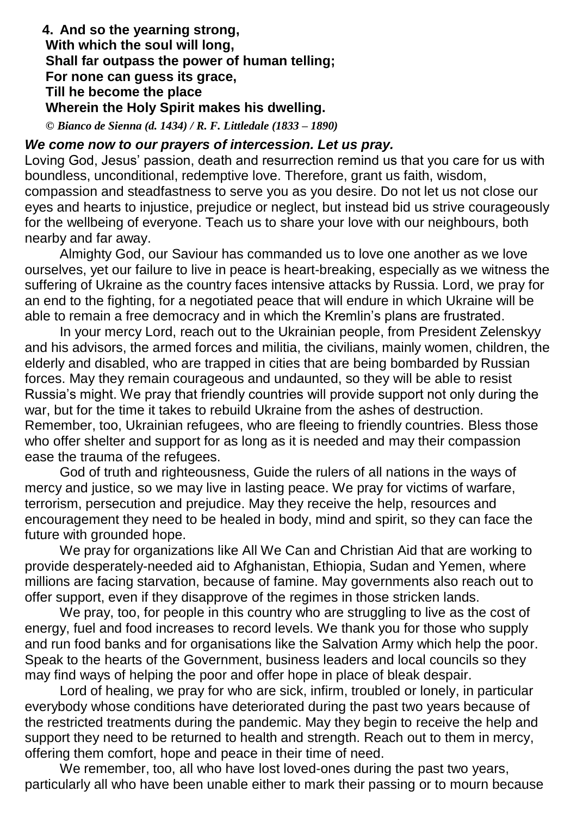### **4. And so the yearning strong, With which the soul will long, Shall far outpass the power of human telling; For none can guess its grace, Till he become the place Wherein the Holy Spirit makes his dwelling.**

*© Bianco de Sienna (d. 1434) / R. F. Littledale (1833 – 1890)*

#### *We come now to our prayers of intercession. Let us pray.*

Loving God, Jesus' passion, death and resurrection remind us that you care for us with boundless, unconditional, redemptive love. Therefore, grant us faith, wisdom, compassion and steadfastness to serve you as you desire. Do not let us not close our eyes and hearts to injustice, prejudice or neglect, but instead bid us strive courageously for the wellbeing of everyone. Teach us to share your love with our neighbours, both nearby and far away.

Almighty God, our Saviour has commanded us to love one another as we love ourselves, yet our failure to live in peace is heart-breaking, especially as we witness the suffering of Ukraine as the country faces intensive attacks by Russia. Lord, we pray for an end to the fighting, for a negotiated peace that will endure in which Ukraine will be able to remain a free democracy and in which the Kremlin's plans are frustrated.

In your mercy Lord, reach out to the Ukrainian people, from President Zelenskyy and his advisors, the armed forces and militia, the civilians, mainly women, children, the elderly and disabled, who are trapped in cities that are being bombarded by Russian forces. May they remain courageous and undaunted, so they will be able to resist Russia's might. We pray that friendly countries will provide support not only during the war, but for the time it takes to rebuild Ukraine from the ashes of destruction. Remember, too, Ukrainian refugees, who are fleeing to friendly countries. Bless those who offer shelter and support for as long as it is needed and may their compassion ease the trauma of the refugees.

God of truth and righteousness, Guide the rulers of all nations in the ways of mercy and justice, so we may live in lasting peace. We pray for victims of warfare, terrorism, persecution and prejudice. May they receive the help, resources and encouragement they need to be healed in body, mind and spirit, so they can face the future with grounded hope.

We pray for organizations like All We Can and Christian Aid that are working to provide desperately-needed aid to Afghanistan, Ethiopia, Sudan and Yemen, where millions are facing starvation, because of famine. May governments also reach out to offer support, even if they disapprove of the regimes in those stricken lands.

We pray, too, for people in this country who are struggling to live as the cost of energy, fuel and food increases to record levels. We thank you for those who supply and run food banks and for organisations like the Salvation Army which help the poor. Speak to the hearts of the Government, business leaders and local councils so they may find ways of helping the poor and offer hope in place of bleak despair.

Lord of healing, we pray for who are sick, infirm, troubled or lonely, in particular everybody whose conditions have deteriorated during the past two years because of the restricted treatments during the pandemic. May they begin to receive the help and support they need to be returned to health and strength. Reach out to them in mercy, offering them comfort, hope and peace in their time of need.

We remember, too, all who have lost loved-ones during the past two years, particularly all who have been unable either to mark their passing or to mourn because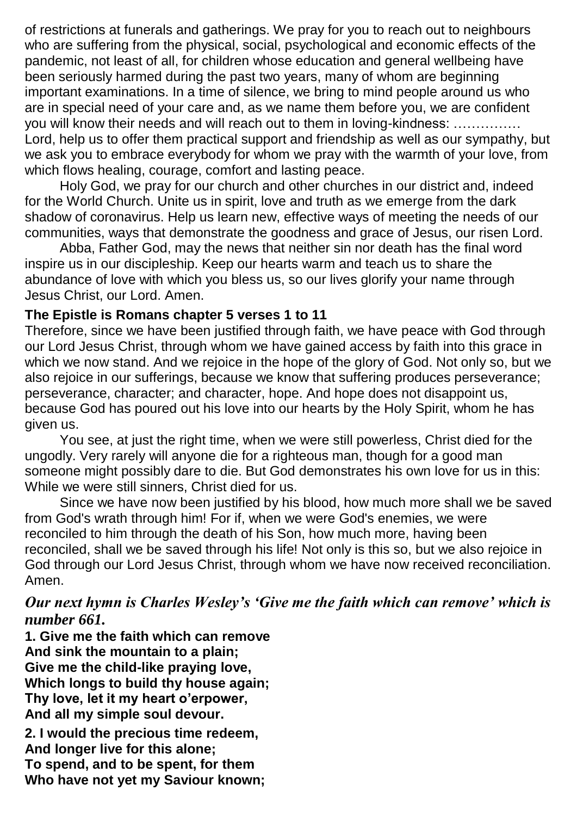of restrictions at funerals and gatherings. We pray for you to reach out to neighbours who are suffering from the physical, social, psychological and economic effects of the pandemic, not least of all, for children whose education and general wellbeing have been seriously harmed during the past two years, many of whom are beginning important examinations. In a time of silence, we bring to mind people around us who are in special need of your care and, as we name them before you, we are confident you will know their needs and will reach out to them in loving-kindness: …………… Lord, help us to offer them practical support and friendship as well as our sympathy, but we ask you to embrace everybody for whom we pray with the warmth of your love, from which flows healing, courage, comfort and lasting peace.

Holy God, we pray for our church and other churches in our district and, indeed for the World Church. Unite us in spirit, love and truth as we emerge from the dark shadow of coronavirus. Help us learn new, effective ways of meeting the needs of our communities, ways that demonstrate the goodness and grace of Jesus, our risen Lord.

Abba, Father God, may the news that neither sin nor death has the final word inspire us in our discipleship. Keep our hearts warm and teach us to share the abundance of love with which you bless us, so our lives glorify your name through Jesus Christ, our Lord. Amen.

### **The Epistle is Romans chapter 5 verses 1 to 11**

Therefore, since we have been justified through faith, we have peace with God through our Lord Jesus Christ, through whom we have gained access by faith into this grace in which we now stand. And we rejoice in the hope of the glory of God. Not only so, but we also rejoice in our sufferings, because we know that suffering produces perseverance; perseverance, character; and character, hope. And hope does not disappoint us, because God has poured out his love into our hearts by the Holy Spirit, whom he has given us.

You see, at just the right time, when we were still powerless, Christ died for the ungodly. Very rarely will anyone die for a righteous man, though for a good man someone might possibly dare to die. But God demonstrates his own love for us in this: While we were still sinners, Christ died for us.

Since we have now been justified by his blood, how much more shall we be saved from God's wrath through him! For if, when we were God's enemies, we were reconciled to him through the death of his Son, how much more, having been reconciled, shall we be saved through his life! Not only is this so, but we also rejoice in God through our Lord Jesus Christ, through whom we have now received reconciliation. Amen.

## *Our next hymn is Charles Wesley's 'Give me the faith which can remove' which is number 661.*

**1. Give me the faith which can remove And sink the mountain to a plain; Give me the child-like praying love, Which longs to build thy house again; Thy love, let it my heart o'erpower, And all my simple soul devour. 2. I would the precious time redeem, And longer live for this alone; To spend, and to be spent, for them Who have not yet my Saviour known;**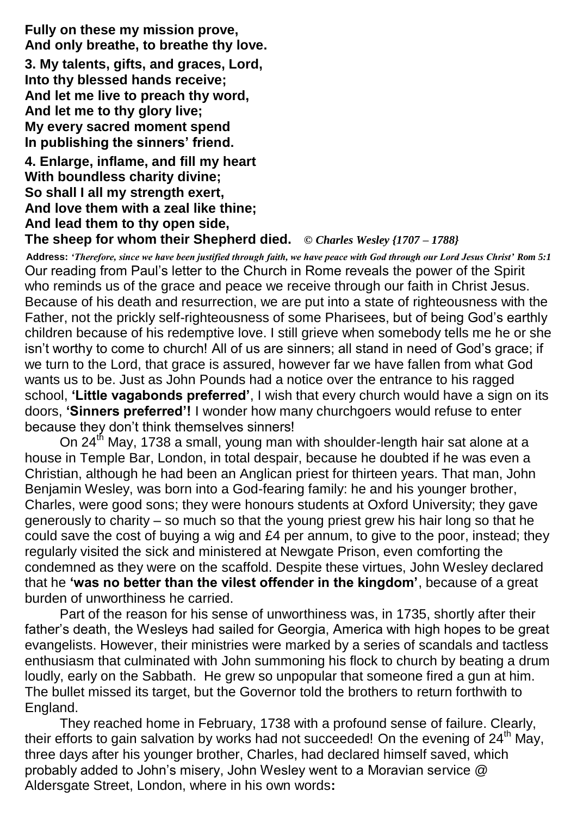**Fully on these my mission prove, And only breathe, to breathe thy love. 3. My talents, gifts, and graces, Lord, Into thy blessed hands receive; And let me live to preach thy word, And let me to thy glory live; My every sacred moment spend In publishing the sinners' friend. 4. Enlarge, inflame, and fill my heart With boundless charity divine; So shall I all my strength exert, And love them with a zeal like thine;**

**And lead them to thy open side, The sheep for whom their Shepherd died.** *© Charles Wesley {1707 – 1788}*

**Address:** *'Therefore, since we have been justified through faith, we have peace with God through our Lord Jesus Christ' Rom 5:1* Our reading from Paul's letter to the Church in Rome reveals the power of the Spirit who reminds us of the grace and peace we receive through our faith in Christ Jesus. Because of his death and resurrection, we are put into a state of righteousness with the Father, not the prickly self-righteousness of some Pharisees, but of being God's earthly children because of his redemptive love. I still grieve when somebody tells me he or she isn't worthy to come to church! All of us are sinners; all stand in need of God's grace; if we turn to the Lord, that grace is assured, however far we have fallen from what God wants us to be. Just as John Pounds had a notice over the entrance to his ragged school, **'Little vagabonds preferred'**, I wish that every church would have a sign on its doors, **'Sinners preferred'!** I wonder how many churchgoers would refuse to enter because they don't think themselves sinners!

On 24<sup>th</sup> May, 1738 a small, young man with shoulder-length hair sat alone at a house in Temple Bar, London, in total despair, because he doubted if he was even a Christian, although he had been an Anglican priest for thirteen years. That man, John Benjamin Wesley, was born into a God-fearing family: he and his younger brother, Charles, were good sons; they were honours students at Oxford University; they gave generously to charity – so much so that the young priest grew his hair long so that he could save the cost of buying a wig and £4 per annum, to give to the poor, instead; they regularly visited the sick and ministered at Newgate Prison, even comforting the condemned as they were on the scaffold. Despite these virtues, John Wesley declared that he **'was no better than the vilest offender in the kingdom'**, because of a great burden of unworthiness he carried.

Part of the reason for his sense of unworthiness was, in 1735, shortly after their father's death, the Wesleys had sailed for Georgia, America with high hopes to be great evangelists. However, their ministries were marked by a series of scandals and tactless enthusiasm that culminated with John summoning his flock to church by beating a drum loudly, early on the Sabbath. He grew so unpopular that someone fired a gun at him. The bullet missed its target, but the Governor told the brothers to return forthwith to England.

They reached home in February, 1738 with a profound sense of failure. Clearly, their efforts to gain salvation by works had not succeeded! On the evening of 24<sup>th</sup> May, three days after his younger brother, Charles, had declared himself saved, which probably added to John's misery, John Wesley went to a Moravian service @ Aldersgate Street, London, where in his own words**:**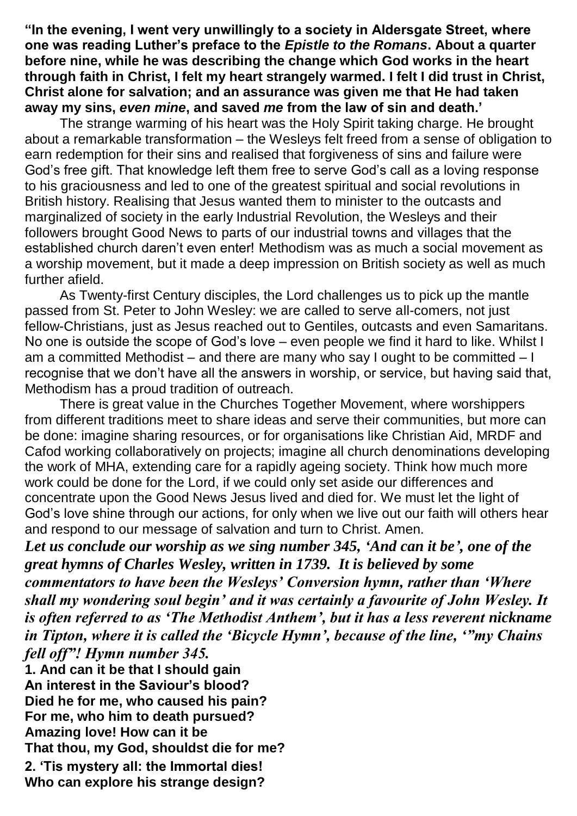**"In the evening, I went very unwillingly to a society in Aldersgate Street, where one was reading Luther's preface to the** *Epistle to the Romans***. About a quarter before nine, while he was describing the change which God works in the heart through faith in Christ, I felt my heart strangely warmed. I felt I did trust in Christ, Christ alone for salvation; and an assurance was given me that He had taken away my sins,** *even mine***, and saved** *me* **from the law of sin and death.'**

The strange warming of his heart was the Holy Spirit taking charge. He brought about a remarkable transformation – the Wesleys felt freed from a sense of obligation to earn redemption for their sins and realised that forgiveness of sins and failure were God's free gift. That knowledge left them free to serve God's call as a loving response to his graciousness and led to one of the greatest spiritual and social revolutions in British history. Realising that Jesus wanted them to minister to the outcasts and marginalized of society in the early Industrial Revolution, the Wesleys and their followers brought Good News to parts of our industrial towns and villages that the established church daren't even enter! Methodism was as much a social movement as a worship movement, but it made a deep impression on British society as well as much further afield.

As Twenty-first Century disciples, the Lord challenges us to pick up the mantle passed from St. Peter to John Wesley: we are called to serve all-comers, not just fellow-Christians, just as Jesus reached out to Gentiles, outcasts and even Samaritans. No one is outside the scope of God's love – even people we find it hard to like. Whilst I am a committed Methodist – and there are many who say I ought to be committed – I recognise that we don't have all the answers in worship, or service, but having said that, Methodism has a proud tradition of outreach.

There is great value in the Churches Together Movement, where worshippers from different traditions meet to share ideas and serve their communities, but more can be done: imagine sharing resources, or for organisations like Christian Aid, MRDF and Cafod working collaboratively on projects; imagine all church denominations developing the work of MHA, extending care for a rapidly ageing society. Think how much more work could be done for the Lord, if we could only set aside our differences and concentrate upon the Good News Jesus lived and died for. We must let the light of God's love shine through our actions, for only when we live out our faith will others hear and respond to our message of salvation and turn to Christ. Amen.

*Let us conclude our worship as we sing number 345, 'And can it be', one of the great hymns of Charles Wesley, written in 1739. It is believed by some commentators to have been the Wesleys' Conversion hymn, rather than 'Where shall my wondering soul begin' and it was certainly a favourite of John Wesley. It is often referred to as 'The Methodist Anthem', but it has a less reverent nickname in Tipton, where it is called the 'Bicycle Hymn', because of the line, '"my Chains fell off"! Hymn number 345.*

**1. And can it be that I should gain An interest in the Saviour's blood? Died he for me, who caused his pain? For me, who him to death pursued? Amazing love! How can it be That thou, my God, shouldst die for me?**

**2. 'Tis mystery all: the Immortal dies! Who can explore his strange design?**